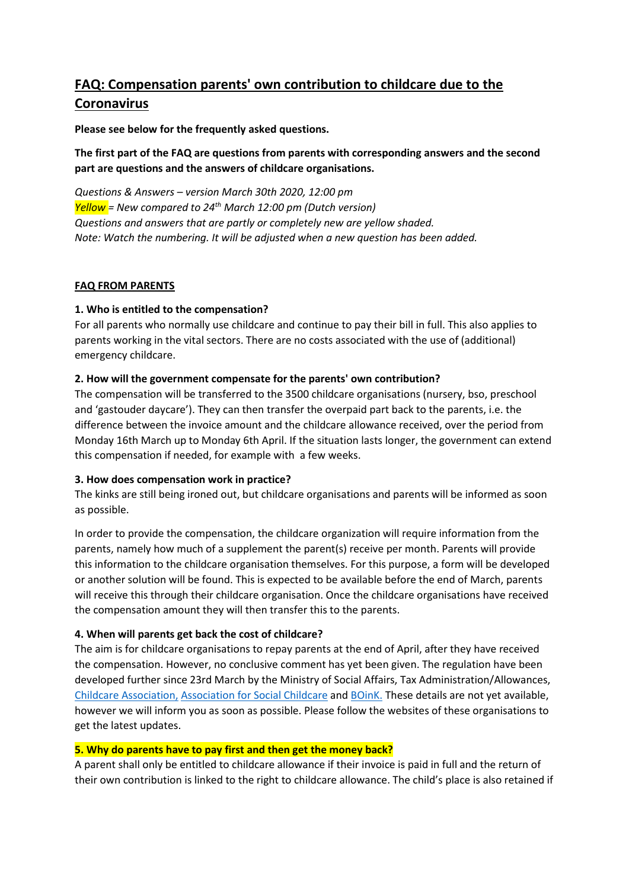# **FAQ: Compensation parents' own contribution to childcare due to the Coronavirus**

**Please see below for the frequently asked questions.**

## **The first part of the FAQ are questions from parents with corresponding answers and the second part are questions and the answers of childcare organisations.**

*Questions & Answers – version March 30th 2020, 12:00 pm Yellow = New compared to 24th March 12:00 pm (Dutch version) Questions and answers that are partly or completely new are yellow shaded. Note: Watch the numbering. It will be adjusted when a new question has been added.*

## **FAQ FROM PARENTS**

## **1. Who is entitled to the compensation?**

For all parents who normally use childcare and continue to pay their bill in full. This also applies to parents working in the vital sectors. There are no costs associated with the use of (additional) emergency childcare.

## **2. How will the government compensate for the parents' own contribution?**

The compensation will be transferred to the 3500 childcare organisations (nursery, bso, preschool and 'gastouder daycare'). They can then transfer the overpaid part back to the parents, i.e. the difference between the invoice amount and the childcare allowance received, over the period from Monday 16th March up to Monday 6th April. If the situation lasts longer, the government can extend this compensation if needed, for example with a few weeks.

## **3. How does compensation work in practice?**

The kinks are still being ironed out, but childcare organisations and parents will be informed as soon as possible.

In order to provide the compensation, the childcare organization will require information from the parents, namely how much of a supplement the parent(s) receive per month. Parents will provide this information to the childcare organisation themselves. For this purpose, a form will be developed or another solution will be found. This is expected to be available before the end of March, parents will receive this through their childcare organisation. Once the childcare organisations have received the compensation amount they will then transfer this to the parents.

# **4. When will parents get back the cost of childcare?**

The aim is for childcare organisations to repay parents at the end of April, after they have received the compensation. However, no conclusive comment has yet been given. The regulation have been developed further since 23rd March by the Ministry of Social Affairs, Tax Administration/Allowances, [Childcare Association,](https://www.kinderopvang.nl/) [Association for Social Childcare](https://www.maatschappelijkekinderopvang.nl/) and [BOinK.](https://www.boink.info/home) These details are not yet available, however we will inform you as soon as possible. Please follow the websites of these organisations to get the latest updates.

## **5. Why do parents have to pay first and then get the money back?**

A parent shall only be entitled to childcare allowance if their invoice is paid in full and the return of their own contribution is linked to the right to childcare allowance. The child's place is also retained if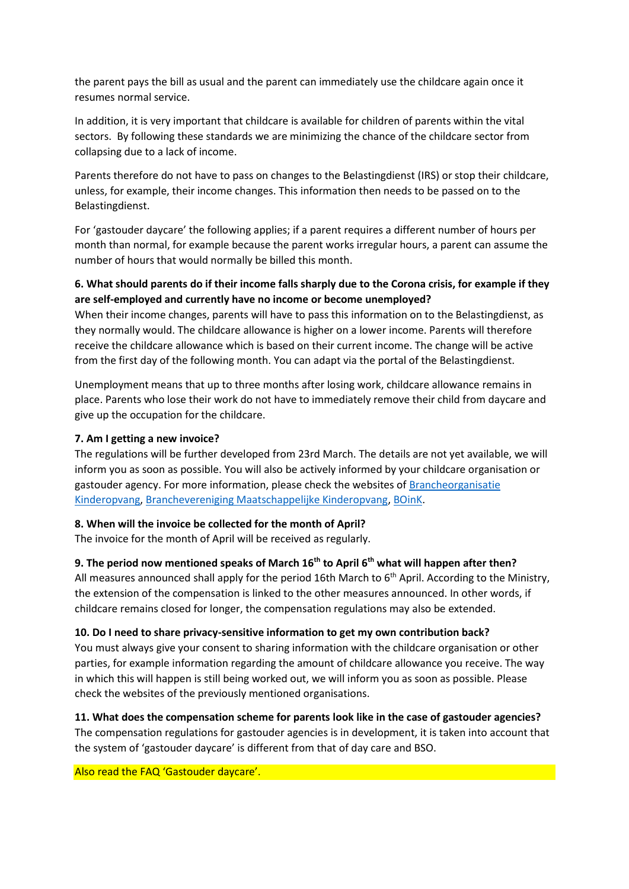the parent pays the bill as usual and the parent can immediately use the childcare again once it resumes normal service.

In addition, it is very important that childcare is available for children of parents within the vital sectors. By following these standards we are minimizing the chance of the childcare sector from collapsing due to a lack of income.

Parents therefore do not have to pass on changes to the Belastingdienst (IRS) or stop their childcare, unless, for example, their income changes. This information then needs to be passed on to the Belastingdienst.

For 'gastouder daycare' the following applies; if a parent requires a different number of hours per month than normal, for example because the parent works irregular hours, a parent can assume the number of hours that would normally be billed this month.

## **6. What should parents do if their income falls sharply due to the Corona crisis, for example if they are self-employed and currently have no income or become unemployed?**

When their income changes, parents will have to pass this information on to the Belastingdienst, as they normally would. The childcare allowance is higher on a lower income. Parents will therefore receive the childcare allowance which is based on their current income. The change will be active from the first day of the following month. You can adapt via the portal of the Belastingdienst.

Unemployment means that up to three months after losing work, childcare allowance remains in place. Parents who lose their work do not have to immediately remove their child from daycare and give up the occupation for the childcare.

## **7. Am I getting a new invoice?**

The regulations will be further developed from 23rd March. The details are not yet available, we will inform you as soon as possible. You will also be actively informed by your childcare organisation or gastouder agency. For more information, please check the websites of [Brancheorganisatie](https://www.kinderopvang.nl/)  [Kinderopvang,](https://www.kinderopvang.nl/) [Branchevereniging Maatschappelijke Kinderopvang,](https://www.maatschappelijkekinderopvang.nl/) [BOinK.](https://www.boink.info/home)

#### **8. When will the invoice be collected for the month of April?**

The invoice for the month of April will be received as regularly.

## **9. The period now mentioned speaks of March 16th to April 6th what will happen after then?**

All measures announced shall apply for the period 16th March to  $6<sup>th</sup>$  April. According to the Ministry, the extension of the compensation is linked to the other measures announced. In other words, if childcare remains closed for longer, the compensation regulations may also be extended.

#### **10. Do I need to share privacy-sensitive information to get my own contribution back?**

You must always give your consent to sharing information with the childcare organisation or other parties, for example information regarding the amount of childcare allowance you receive. The way in which this will happen is still being worked out, we will inform you as soon as possible. Please check the websites of the previously mentioned organisations.

## **11. What does the compensation scheme for parents look like in the case of gastouder agencies?**

The compensation regulations for gastouder agencies is in development, it is taken into account that the system of 'gastouder daycare' is different from that of day care and BSO.

#### Also read the FAQ 'Gastouder daycare'.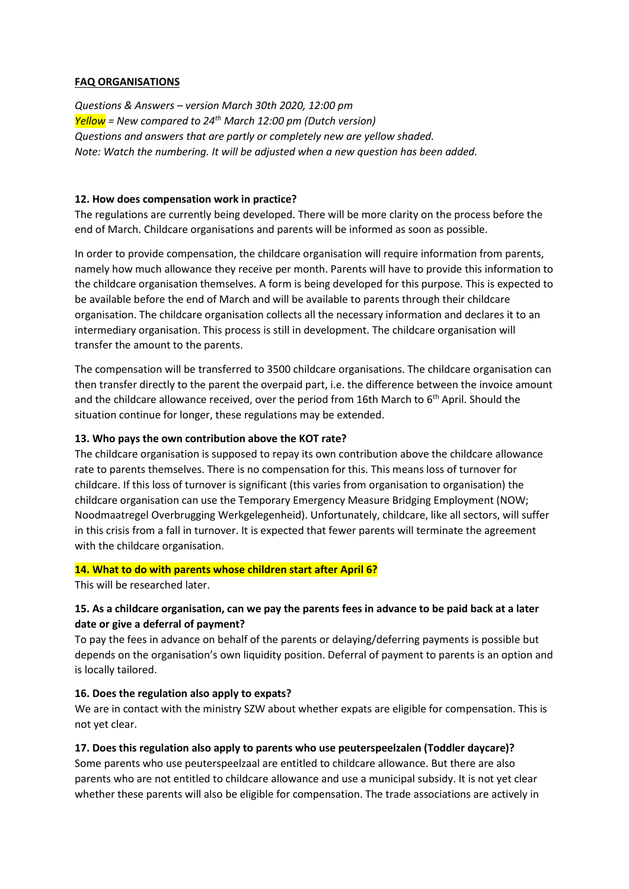#### **FAQ ORGANISATIONS**

*Questions & Answers – version March 30th 2020, 12:00 pm Yellow = New compared to 24th March 12:00 pm (Dutch version) Questions and answers that are partly or completely new are yellow shaded. Note: Watch the numbering. It will be adjusted when a new question has been added.*

#### **12. How does compensation work in practice?**

The regulations are currently being developed. There will be more clarity on the process before the end of March. Childcare organisations and parents will be informed as soon as possible.

In order to provide compensation, the childcare organisation will require information from parents, namely how much allowance they receive per month. Parents will have to provide this information to the childcare organisation themselves. A form is being developed for this purpose. This is expected to be available before the end of March and will be available to parents through their childcare organisation. The childcare organisation collects all the necessary information and declares it to an intermediary organisation. This process is still in development. The childcare organisation will transfer the amount to the parents.

The compensation will be transferred to 3500 childcare organisations. The childcare organisation can then transfer directly to the parent the overpaid part, i.e. the difference between the invoice amount and the childcare allowance received, over the period from 16th March to 6<sup>th</sup> April. Should the situation continue for longer, these regulations may be extended.

#### **13. Who pays the own contribution above the KOT rate?**

The childcare organisation is supposed to repay its own contribution above the childcare allowance rate to parents themselves. There is no compensation for this. This means loss of turnover for childcare. If this loss of turnover is significant (this varies from organisation to organisation) the childcare organisation can use the Temporary Emergency Measure Bridging Employment (NOW; Noodmaatregel Overbrugging Werkgelegenheid). Unfortunately, childcare, like all sectors, will suffer in this crisis from a fall in turnover. It is expected that fewer parents will terminate the agreement with the childcare organisation.

#### **14. What to do with parents whose children start after April 6?**

This will be researched later.

#### **15. As a childcare organisation, can we pay the parents fees in advance to be paid back at a later date or give a deferral of payment?**

To pay the fees in advance on behalf of the parents or delaying/deferring payments is possible but depends on the organisation's own liquidity position. Deferral of payment to parents is an option and is locally tailored.

#### **16. Does the regulation also apply to expats?**

We are in contact with the ministry SZW about whether expats are eligible for compensation. This is not yet clear.

#### **17. Does this regulation also apply to parents who use peuterspeelzalen (Toddler daycare)?**

Some parents who use peuterspeelzaal are entitled to childcare allowance. But there are also parents who are not entitled to childcare allowance and use a municipal subsidy. It is not yet clear whether these parents will also be eligible for compensation. The trade associations are actively in